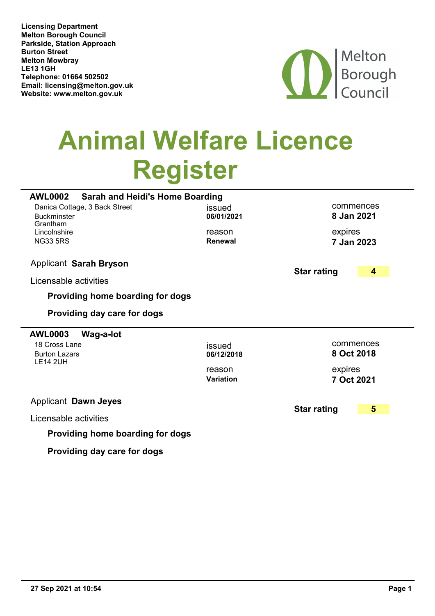Melton Borough Council Parkside, Station Approach Burton Street Melton Mowbray Telephone: 01664 502502 Licensing Department LE13 1GH Email: licensing@melton.gov.uk Website: <www.melton.gov.uk>



## Animal Welfare Licence Register

| <b>AWL0002</b><br><b>Sarah and Heidi's Home Boarding</b>        |                            |                         |
|-----------------------------------------------------------------|----------------------------|-------------------------|
| Danica Cottage, 3 Back Street<br><b>Buckminster</b><br>Grantham | issued<br>06/01/2021       | commences<br>8 Jan 2021 |
| Lincolnshire<br><b>NG33 5RS</b>                                 | reason<br><b>Renewal</b>   | expires<br>7 Jan 2023   |
| <b>Applicant Sarah Bryson</b>                                   | <b>Star rating</b>         | 4                       |
| Licensable activities                                           |                            |                         |
| Providing home boarding for dogs                                |                            |                         |
| Providing day care for dogs                                     |                            |                         |
|                                                                 |                            |                         |
| <b>AWL0003</b><br>Wag-a-lot                                     |                            |                         |
| 18 Cross Lane<br><b>Burton Lazars</b><br><b>LE14 2UH</b>        | issued<br>06/12/2018       | commences<br>8 Oct 2018 |
|                                                                 | reason<br><b>Variation</b> | expires<br>7 Oct 2021   |
| <b>Applicant Dawn Jeyes</b>                                     |                            |                         |
| Licensable activities                                           | <b>Star rating</b>         | 5                       |

Providing day care for dogs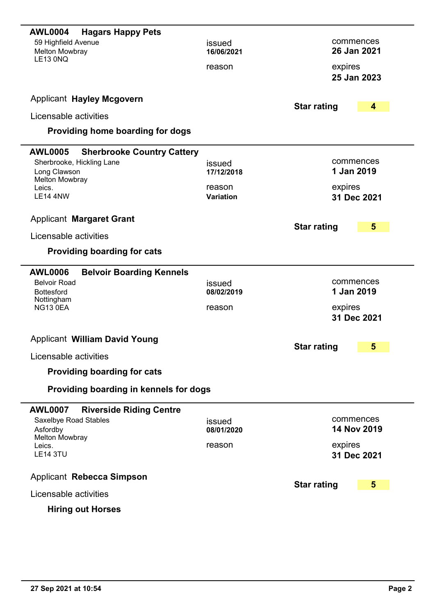| commences<br>26 Jan 2021 |
|--------------------------|
|                          |
| 25 Jan 2023              |
|                          |
|                          |
| 4                        |
|                          |
|                          |
| commences                |
| 1 Jan 2019               |
| 31 Dec 2021              |
|                          |
|                          |
| 5                        |
|                          |
|                          |
|                          |
|                          |
| commences                |
| 1 Jan 2019               |
|                          |
| 31 Dec 2021              |
|                          |
| 5                        |
|                          |
|                          |
|                          |
|                          |
| commences                |
| 14 Nov 2019              |
|                          |
| 31 Dec 2021              |
| 5                        |
|                          |

## Hiring out Horses

 $\overline{\phantom{0}}$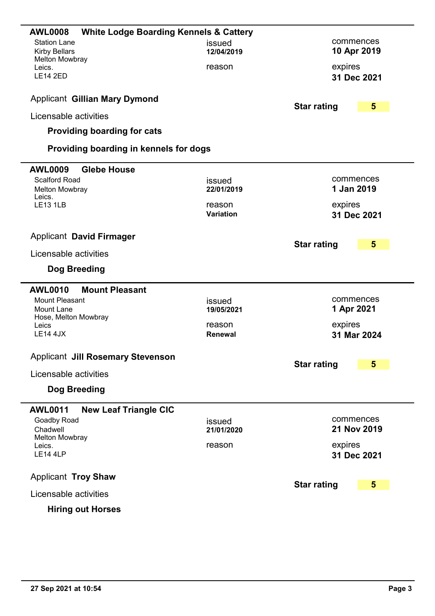| <b>AWL0008</b><br><b>White Lodge Boarding Kennels &amp; Cattery</b> |                |                                               |
|---------------------------------------------------------------------|----------------|-----------------------------------------------|
| <b>Station Lane</b>                                                 | issued         | commences                                     |
| <b>Kirby Bellars</b><br><b>Melton Mowbray</b>                       | 12/04/2019     | 10 Apr 2019                                   |
| Leics.                                                              | reason         | expires                                       |
| <b>LE14 2ED</b>                                                     |                | 31 Dec 2021                                   |
| <b>Applicant Gillian Mary Dymond</b>                                |                |                                               |
|                                                                     |                | <b>Star rating</b><br>$5\phantom{1}$          |
| Licensable activities                                               |                |                                               |
| <b>Providing boarding for cats</b>                                  |                |                                               |
| Providing boarding in kennels for dogs                              |                |                                               |
| <b>AWL0009</b><br><b>Glebe House</b>                                |                |                                               |
| <b>Scalford Road</b>                                                | issued         | commences                                     |
| <b>Melton Mowbray</b><br>Leics.                                     | 22/01/2019     | 1 Jan 2019                                    |
| <b>LE13 1LB</b>                                                     | reason         | expires                                       |
|                                                                     | Variation      | 31 Dec 2021                                   |
| <b>Applicant David Firmager</b>                                     |                |                                               |
|                                                                     |                | <b>Star rating</b><br>5                       |
| Licensable activities                                               |                |                                               |
| Dog Breeding                                                        |                |                                               |
| <b>AWL0010</b><br><b>Mount Pleasant</b>                             |                |                                               |
| <b>Mount Pleasant</b>                                               | issued         | commences                                     |
| Mount Lane                                                          | 19/05/2021     | 1 Apr 2021                                    |
| Hose, Melton Mowbray<br>Leics                                       | reason         | expires                                       |
| <b>LE14 4JX</b>                                                     | <b>Renewal</b> | 31 Mar 2024                                   |
|                                                                     |                |                                               |
| <b>Applicant Jill Rosemary Stevenson</b>                            |                | <b>Star rating</b><br>5                       |
| Licensable activities                                               |                |                                               |
| Dog Breeding                                                        |                |                                               |
| <b>AWL0011</b><br><b>New Leaf Triangle CIC</b>                      |                |                                               |
| Goadby Road                                                         | issued         | commences                                     |
| Chadwell                                                            | 21/01/2020     | 21 Nov 2019                                   |
| <b>Melton Mowbray</b><br>Leics.                                     | reason         | expires                                       |
| <b>LE14 4LP</b>                                                     |                | 31 Dec 2021                                   |
|                                                                     |                |                                               |
| <b>Applicant Troy Shaw</b>                                          |                | <b>Star rating</b><br>$\overline{\mathbf{5}}$ |
| Licensable activities                                               |                |                                               |
|                                                                     |                |                                               |

L,

 $\overline{\phantom{0}}$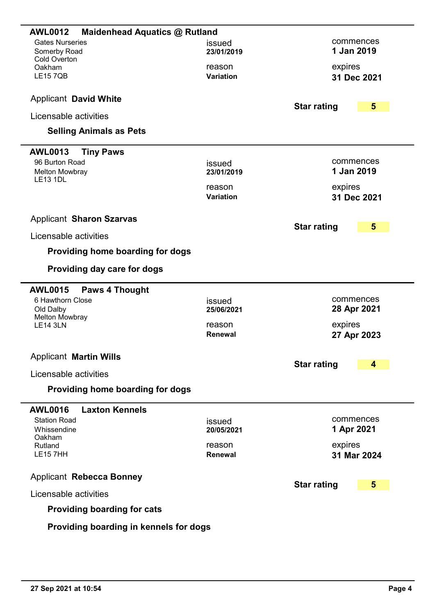| <b>AWL0012</b><br>Maidenhead Aquatics @ Rutland            |                            |                          |   |
|------------------------------------------------------------|----------------------------|--------------------------|---|
| <b>Gates Nurseries</b><br>Somerby Road<br>Cold Overton     | issued<br>23/01/2019       | commences<br>1 Jan 2019  |   |
| Oakham<br><b>LE157QB</b>                                   | reason<br><b>Variation</b> | expires<br>31 Dec 2021   |   |
| <b>Applicant David White</b>                               |                            | <b>Star rating</b>       | 5 |
| Licensable activities                                      |                            |                          |   |
| <b>Selling Animals as Pets</b>                             |                            |                          |   |
| <b>AWL0013</b><br><b>Tiny Paws</b>                         |                            |                          |   |
| 96 Burton Road<br><b>Melton Mowbray</b><br><b>LE13 1DL</b> | issued<br>23/01/2019       | commences<br>1 Jan 2019  |   |
|                                                            | reason<br><b>Variation</b> | expires<br>31 Dec 2021   |   |
| <b>Applicant Sharon Szarvas</b>                            |                            |                          |   |
| Licensable activities                                      |                            | <b>Star rating</b>       | 5 |
| Providing home boarding for dogs                           |                            |                          |   |
| Providing day care for dogs                                |                            |                          |   |
| <b>AWL0015</b><br><b>Paws 4 Thought</b>                    |                            |                          |   |
| 6 Hawthorn Close<br>Old Dalby<br><b>Melton Mowbray</b>     | issued<br>25/06/2021       | commences<br>28 Apr 2021 |   |
| <b>LE14 3LN</b>                                            | reason<br><b>Renewal</b>   | expires<br>27 Apr 2023   |   |
| <b>Applicant Martin Wills</b>                              |                            |                          |   |
| Licensable activities                                      |                            | <b>Star rating</b>       | 4 |
| Providing home boarding for dogs                           |                            |                          |   |
| <b>AWL0016</b><br><b>Laxton Kennels</b>                    |                            |                          |   |
| <b>Station Road</b><br>Whissendine<br>Oakham               | issued<br>20/05/2021       | commences<br>1 Apr 2021  |   |
| Rutland<br><b>LE157HH</b>                                  | reason<br>Renewal          | expires<br>31 Mar 2024   |   |
| <b>Applicant Rebecca Bonney</b>                            |                            | <b>Star rating</b>       | 5 |
| Licensable activities                                      |                            |                          |   |
| <b>Providing boarding for cats</b>                         |                            |                          |   |
| Providing boarding in kennels for dogs                     |                            |                          |   |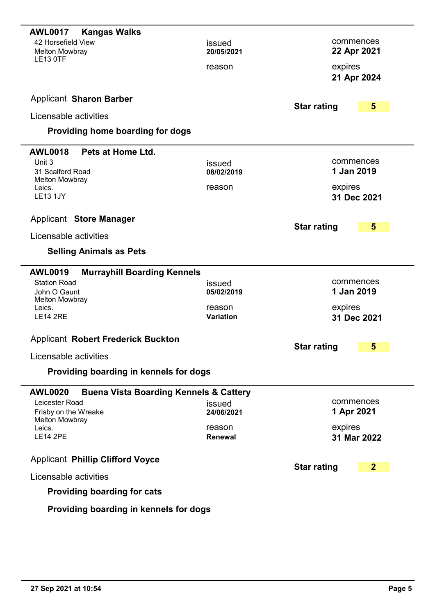| <b>Kangas Walks</b><br><b>AWL0017</b>                               |                      |                                      |
|---------------------------------------------------------------------|----------------------|--------------------------------------|
| 42 Horsefield View                                                  | issued               | commences                            |
| <b>Melton Mowbray</b><br><b>LE13 0TF</b>                            | 20/05/2021           | 22 Apr 2021                          |
|                                                                     | reason               | expires                              |
|                                                                     |                      | 21 Apr 2024                          |
| <b>Applicant Sharon Barber</b>                                      |                      | <b>Star rating</b><br>5              |
| Licensable activities                                               |                      |                                      |
| Providing home boarding for dogs                                    |                      |                                      |
| <b>AWL0018</b><br>Pets at Home Ltd.                                 |                      |                                      |
| Unit 3                                                              | issued               | commences                            |
| 31 Scalford Road<br><b>Melton Mowbray</b>                           | 08/02/2019           | 1 Jan 2019                           |
| Leics.                                                              | reason               | expires                              |
| <b>LE13 1JY</b>                                                     |                      | 31 Dec 2021                          |
| <b>Applicant Store Manager</b>                                      |                      | 5<br><b>Star rating</b>              |
| Licensable activities                                               |                      |                                      |
| <b>Selling Animals as Pets</b>                                      |                      |                                      |
| <b>AWL0019</b><br><b>Murrayhill Boarding Kennels</b>                |                      |                                      |
| <b>Station Road</b>                                                 | issued               | commences                            |
| John O Gaunt<br><b>Melton Mowbray</b>                               | 05/02/2019           | 1 Jan 2019                           |
| Leics.<br><b>LE14 2RE</b>                                           | reason<br>Variation  | expires                              |
|                                                                     |                      | 31 Dec 2021                          |
| <b>Applicant Robert Frederick Buckton</b>                           |                      |                                      |
| Licensable activities                                               |                      | 5<br><b>Star rating</b>              |
| Providing boarding in kennels for dogs                              |                      |                                      |
|                                                                     |                      |                                      |
| <b>AWL0020</b><br><b>Buena Vista Boarding Kennels &amp; Cattery</b> |                      |                                      |
| Leicester Road<br>Frisby on the Wreake                              | issued<br>24/06/2021 | commences<br>1 Apr 2021              |
| <b>Melton Mowbray</b>                                               |                      |                                      |
| Leics.<br><b>LE14 2PE</b>                                           | reason<br>Renewal    | expires<br>31 Mar 2022               |
|                                                                     |                      |                                      |
| <b>Applicant Phillip Clifford Voyce</b>                             |                      |                                      |
| Licensable activities                                               |                      | <b>Star rating</b><br>$\overline{2}$ |
| <b>Providing boarding for cats</b>                                  |                      |                                      |
| Providing boarding in kennels for dogs                              |                      |                                      |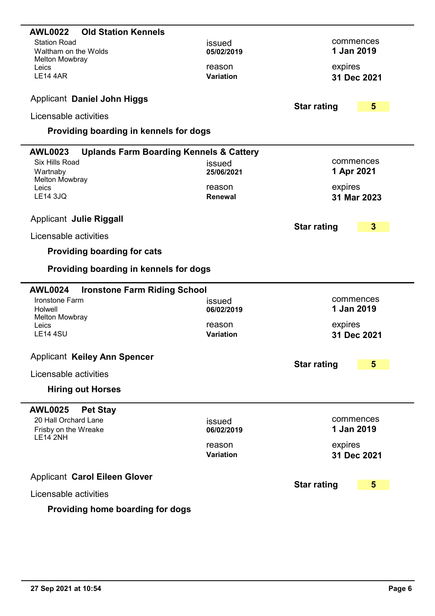| <b>Old Station Kennels</b><br><b>AWL0022</b>                            |                      |                         |
|-------------------------------------------------------------------------|----------------------|-------------------------|
| <b>Station Road</b>                                                     | issued               | commences               |
| Waltham on the Wolds                                                    | 05/02/2019           | 1 Jan 2019              |
| <b>Melton Mowbray</b>                                                   |                      |                         |
| Leics                                                                   | reason               | expires                 |
| <b>LE14 4AR</b>                                                         | <b>Variation</b>     | 31 Dec 2021             |
|                                                                         |                      |                         |
| <b>Applicant Daniel John Higgs</b>                                      | <b>Star rating</b>   | 5                       |
| Licensable activities                                                   |                      |                         |
| Providing boarding in kennels for dogs                                  |                      |                         |
|                                                                         |                      |                         |
| <b>AWL0023</b><br><b>Uplands Farm Boarding Kennels &amp; Cattery</b>    |                      |                         |
| Six Hills Road                                                          | issued               | commences               |
| Wartnaby                                                                | 25/06/2021           | 1 Apr 2021              |
| <b>Melton Mowbray</b><br>Leics                                          | reason               | expires                 |
| <b>LE14 3JQ</b>                                                         | <b>Renewal</b>       | 31 Mar 2023             |
|                                                                         |                      |                         |
| <b>Applicant Julie Riggall</b>                                          |                      |                         |
|                                                                         | <b>Star rating</b>   | $\mathbf{3}$            |
| Licensable activities                                                   |                      |                         |
| <b>Providing boarding for cats</b>                                      |                      |                         |
|                                                                         |                      |                         |
|                                                                         |                      |                         |
| Providing boarding in kennels for dogs                                  |                      |                         |
|                                                                         |                      |                         |
| <b>AWL0024</b><br><b>Ironstone Farm Riding School</b><br>Ironstone Farm |                      | commences               |
| Holwell                                                                 | issued<br>06/02/2019 | 1 Jan 2019              |
| <b>Melton Mowbray</b>                                                   |                      |                         |
| Leics                                                                   | reason               | expires                 |
| <b>LE14 4SU</b>                                                         | <b>Variation</b>     | 31 Dec 2021             |
|                                                                         |                      |                         |
| <b>Applicant Keiley Ann Spencer</b>                                     | <b>Star rating</b>   | 5                       |
| Licensable activities                                                   |                      |                         |
| <b>Hiring out Horses</b>                                                |                      |                         |
|                                                                         |                      |                         |
| <b>AWL0025</b><br><b>Pet Stay</b>                                       |                      |                         |
| 20 Hall Orchard Lane                                                    | issued<br>06/02/2019 | commences<br>1 Jan 2019 |
| Frisby on the Wreake<br><b>LE14 2NH</b>                                 |                      |                         |
|                                                                         | reason               | expires                 |
|                                                                         | Variation            | 31 Dec 2021             |
| <b>Applicant Carol Eileen Glover</b>                                    |                      |                         |
| Licensable activities                                                   | <b>Star rating</b>   | 5                       |

## Providing home boarding for dogs

۰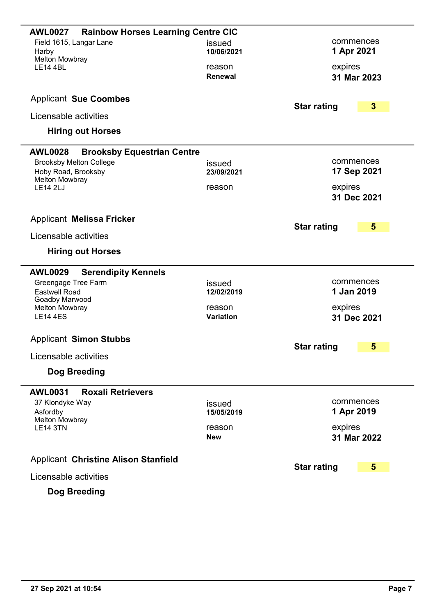| <b>Rainbow Horses Learning Centre CIC</b><br><b>AWL0027</b> |                  |                                        |
|-------------------------------------------------------------|------------------|----------------------------------------|
| Field 1615, Langar Lane                                     | issued           | commences                              |
| Harby<br><b>Melton Mowbray</b>                              | 10/06/2021       | 1 Apr 2021                             |
| <b>LE14 4BL</b>                                             | reason           | expires                                |
|                                                             | Renewal          | 31 Mar 2023                            |
|                                                             |                  |                                        |
| <b>Applicant Sue Coombes</b>                                |                  | <b>Star rating</b><br>$\boldsymbol{3}$ |
| Licensable activities                                       |                  |                                        |
| <b>Hiring out Horses</b>                                    |                  |                                        |
| <b>AWL0028</b><br><b>Brooksby Equestrian Centre</b>         |                  |                                        |
| <b>Brooksby Melton College</b>                              | issued           | commences                              |
| Hoby Road, Brooksby<br><b>Melton Mowbray</b>                | 23/09/2021       | 17 Sep 2021                            |
| <b>LE14 2LJ</b>                                             | reason           | expires                                |
|                                                             |                  | 31 Dec 2021                            |
|                                                             |                  |                                        |
| <b>Applicant Melissa Fricker</b>                            |                  | 5<br><b>Star rating</b>                |
| Licensable activities                                       |                  |                                        |
| <b>Hiring out Horses</b>                                    |                  |                                        |
| <b>AWL0029</b><br><b>Serendipity Kennels</b>                |                  |                                        |
| Greengage Tree Farm                                         | issued           | commences                              |
| <b>Eastwell Road</b><br>Goadby Marwood                      | 12/02/2019       | 1 Jan 2019                             |
| Melton Mowbray                                              | reason           | expires                                |
| <b>LE14 4ES</b>                                             | <b>Variation</b> | 31 Dec 2021                            |
| <b>Applicant Simon Stubbs</b>                               |                  |                                        |
|                                                             |                  | 5<br><b>Star rating</b>                |
| Licensable activities                                       |                  |                                        |
| Dog Breeding                                                |                  |                                        |
| <b>Roxali Retrievers</b><br><b>AWL0031</b>                  |                  |                                        |
| 37 Klondyke Way                                             | issued           | commences                              |
| Asfordby<br><b>Melton Mowbray</b>                           | 15/05/2019       | 1 Apr 2019                             |
| <b>LE14 3TN</b>                                             | reason           | expires                                |
|                                                             | <b>New</b>       | 31 Mar 2022                            |
| <b>Applicant Christine Alison Stanfield</b>                 |                  |                                        |
| Licensable activities                                       |                  | <b>Star rating</b><br>5                |
| Dog Breeding                                                |                  |                                        |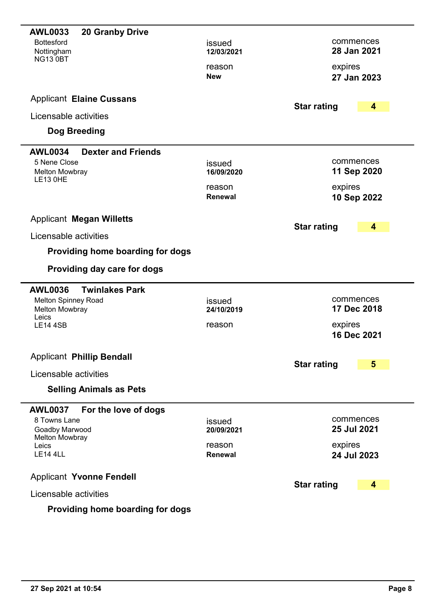| <b>20 Granby Drive</b><br><b>AWL0033</b>    |                          |                          |
|---------------------------------------------|--------------------------|--------------------------|
| <b>Bottesford</b>                           | issued                   | commences                |
| Nottingham<br><b>NG13 0BT</b>               | 12/03/2021               | 28 Jan 2021              |
|                                             | reason                   | expires                  |
|                                             | <b>New</b>               | 27 Jan 2023              |
| <b>Applicant Elaine Cussans</b>             |                          | <b>Star rating</b><br>4  |
| Licensable activities                       |                          |                          |
| Dog Breeding                                |                          |                          |
| <b>AWL0034</b><br><b>Dexter and Friends</b> |                          |                          |
| 5 Nene Close                                | issued<br>16/09/2020     | commences<br>11 Sep 2020 |
| <b>Melton Mowbray</b><br><b>LE13 0HE</b>    |                          |                          |
|                                             | reason<br>Renewal        | expires<br>10 Sep 2022   |
|                                             |                          |                          |
| <b>Applicant Megan Willetts</b>             |                          | <b>Star rating</b><br>4  |
| Licensable activities                       |                          |                          |
| Providing home boarding for dogs            |                          |                          |
| Providing day care for dogs                 |                          |                          |
| <b>Twinlakes Park</b><br><b>AWL0036</b>     |                          |                          |
| <b>Melton Spinney Road</b>                  | issued                   | commences<br>17 Dec 2018 |
| <b>Melton Mowbray</b><br>Leics              | 24/10/2019               |                          |
| <b>LE14 4SB</b>                             | reason                   | expires<br>16 Dec 2021   |
|                                             |                          |                          |
| <b>Applicant Phillip Bendall</b>            |                          | <b>Star rating</b><br>5  |
| Licensable activities                       |                          |                          |
| <b>Selling Animals as Pets</b>              |                          |                          |
| <b>AWL0037</b><br>For the love of dogs      |                          |                          |
| 8 Towns Lane<br>Goadby Marwood              | issued<br>20/09/2021     | commences<br>25 Jul 2021 |
| <b>Melton Mowbray</b>                       |                          |                          |
| Leics<br><b>LE14 4LL</b>                    | reason<br><b>Renewal</b> | expires<br>24 Jul 2023   |
|                                             |                          |                          |
| <b>Applicant Yvonne Fendell</b>             |                          | <b>Star rating</b><br>4  |
| Licensable activities                       |                          |                          |
| وبالمسموم الممسومات                         |                          |                          |

## Providing home boarding for dogs

 $\overline{\phantom{0}}$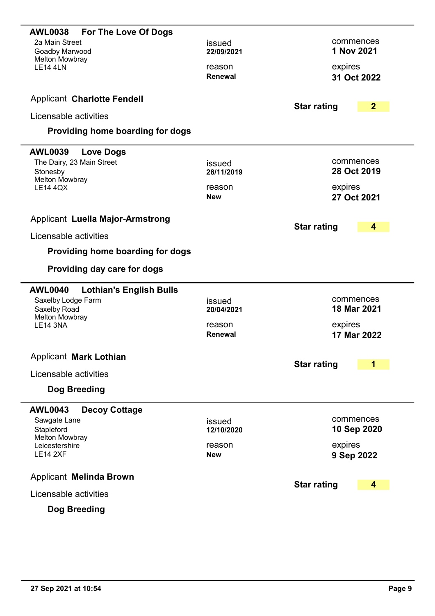| <b>AWL0038</b><br><b>For The Love Of Dogs</b><br>2a Main Street<br>Goadby Marwood<br><b>Melton Mowbray</b><br><b>LE14 4LN</b><br><b>Applicant Charlotte Fendell</b><br>Licensable activities<br>Providing home boarding for dogs | issued<br>22/09/2021<br>reason<br>Renewal        | commences<br>1 Nov 2021<br>expires<br>31 Oct 2022<br>$\overline{2}$<br><b>Star rating</b> |
|----------------------------------------------------------------------------------------------------------------------------------------------------------------------------------------------------------------------------------|--------------------------------------------------|-------------------------------------------------------------------------------------------|
| <b>AWL0039</b><br><b>Love Dogs</b><br>The Dairy, 23 Main Street                                                                                                                                                                  | issued                                           | commences                                                                                 |
| Stonesby<br><b>Melton Mowbray</b><br><b>LE14 4QX</b>                                                                                                                                                                             | 28/11/2019<br>reason<br><b>New</b>               | 28 Oct 2019<br>expires<br>27 Oct 2021                                                     |
| <b>Applicant Luella Major-Armstrong</b>                                                                                                                                                                                          |                                                  | <b>Star rating</b><br>4                                                                   |
| Licensable activities                                                                                                                                                                                                            |                                                  |                                                                                           |
| Providing home boarding for dogs                                                                                                                                                                                                 |                                                  |                                                                                           |
| Providing day care for dogs                                                                                                                                                                                                      |                                                  |                                                                                           |
| <b>AWL0040</b><br><b>Lothian's English Bulls</b><br>Saxelby Lodge Farm<br>Saxelby Road<br><b>Melton Mowbray</b><br><b>LE14 3NA</b>                                                                                               | issued<br>20/04/2021<br>reason<br><b>Renewal</b> | commences<br>18 Mar 2021<br>expires<br>17 Mar 2022                                        |
| <b>Applicant Mark Lothian</b><br>Licensable activities<br>Dog Breeding                                                                                                                                                           |                                                  | <b>Star rating</b><br>1                                                                   |
|                                                                                                                                                                                                                                  |                                                  |                                                                                           |
| <b>AWL0043</b><br><b>Decoy Cottage</b><br>Sawgate Lane<br>Stapleford<br><b>Melton Mowbray</b><br>Leicestershire<br><b>LE14 2XF</b>                                                                                               | issued<br>12/10/2020<br>reason<br><b>New</b>     | commences<br>10 Sep 2020<br>expires<br>9 Sep 2022                                         |
| <b>Applicant Melinda Brown</b>                                                                                                                                                                                                   |                                                  | 4                                                                                         |
| Licensable activities                                                                                                                                                                                                            |                                                  | <b>Star rating</b>                                                                        |
| Dog Breeding                                                                                                                                                                                                                     |                                                  |                                                                                           |

-